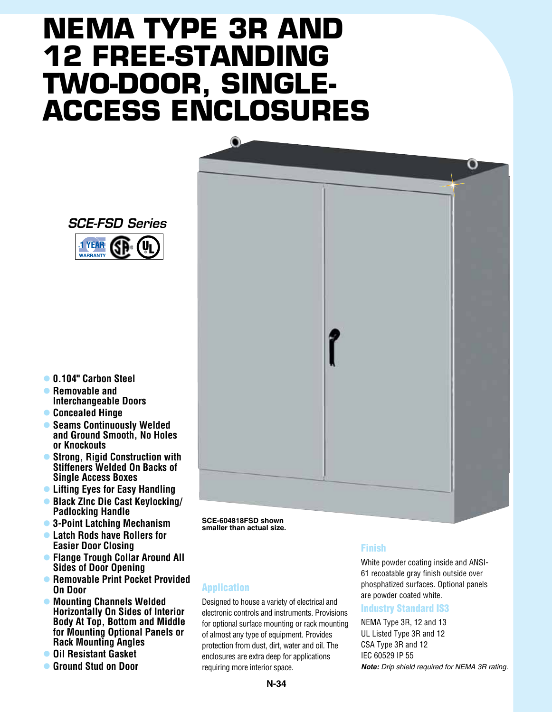# **NEMA TYPE 3R and 12 FREE-STANDING two-door, singleaccess Enclosures**

 $\bullet$ 



GP. 1 YEAR **WARRANTY** 

*SCE-FSD Series*

- l **0.104" Carbon Steel**
- **Removable and Interchangeable Doors**
- $\bullet$  **Concealed Hinge**
- **Seams Continuously Welded and Ground Smooth, No Holes or Knockouts**
- **Strong, Rigid Construction with Stiffeners Welded On Backs of Single Access Boxes**
- **Lifting Eyes for Easy Handling**
- l **Black ZInc Die Cast Keylocking/ Padlocking Handle**
- l **3-Point Latching Mechanism**
- **Example 2 Latch Rods have Rollers for Easier Door Closing**
- l **Flange Trough Collar Around All Sides of Door Opening**
- l **Removable Print Pocket Provided On Door**
- **Mounting Channels Welded Horizontally On Sides of Interior Body At Top, Bottom and Middle for Mounting Optional Panels or Rack Mounting Angles**
- **Oil Resistant Gasket**
- **Calcular Ground Stud on Door**

**SCE-604818FSD shown smaller than actual size.**

### Application

Designed to house a variety of electrical and electronic controls and instruments. Provisions for optional surface mounting or rack mounting of almost any type of equipment. Provides protection from dust, dirt, water and oil. The enclosures are extra deep for applications requiring more interior space.

#### Finish

White powder coating inside and ANSI-61 recoatable gray finish outside over phosphatized surfaces. Optional panels are powder coated white.

#### Industry Standard IS3

NEMA Type 3R, 12 and 13 UL Listed Type 3R and 12 CSA Type 3R and 12 IEC 60529 IP 55 *Note: Drip shield required for NEMA 3R rating.*